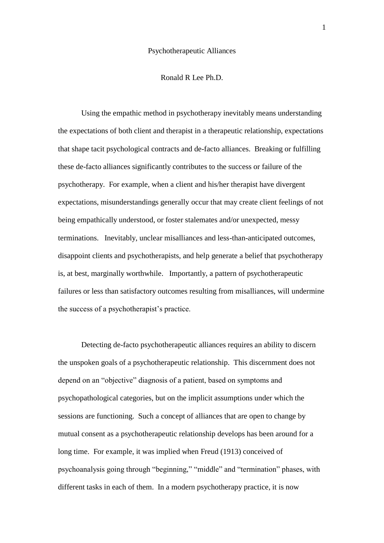#### Psychotherapeutic Alliances

### Ronald R Lee Ph.D.

Using the empathic method in psychotherapy inevitably means understanding the expectations of both client and therapist in a therapeutic relationship, expectations that shape tacit psychological contracts and de-facto alliances. Breaking or fulfilling these de-facto alliances significantly contributes to the success or failure of the psychotherapy. For example, when a client and his/her therapist have divergent expectations, misunderstandings generally occur that may create client feelings of not being empathically understood, or foster stalemates and/or unexpected, messy terminations. Inevitably, unclear misalliances and less-than-anticipated outcomes, disappoint clients and psychotherapists, and help generate a belief that psychotherapy is, at best, marginally worthwhile. Importantly, a pattern of psychotherapeutic failures or less than satisfactory outcomes resulting from misalliances, will undermine the success of a psychotherapist's practice.

Detecting de-facto psychotherapeutic alliances requires an ability to discern the unspoken goals of a psychotherapeutic relationship. This discernment does not depend on an "objective" diagnosis of a patient, based on symptoms and psychopathological categories, but on the implicit assumptions under which the sessions are functioning. Such a concept of alliances that are open to change by mutual consent as a psychotherapeutic relationship develops has been around for a long time. For example, it was implied when Freud (1913) conceived of psychoanalysis going through "beginning," "middle" and "termination" phases, with different tasks in each of them. In a modern psychotherapy practice, it is now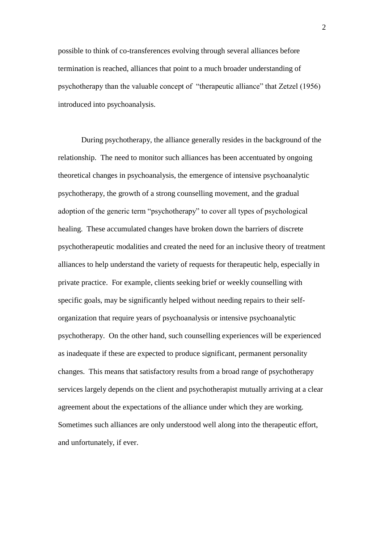possible to think of co-transferences evolving through several alliances before termination is reached, alliances that point to a much broader understanding of psychotherapy than the valuable concept of "therapeutic alliance" that Zetzel (1956) introduced into psychoanalysis.

During psychotherapy, the alliance generally resides in the background of the relationship. The need to monitor such alliances has been accentuated by ongoing theoretical changes in psychoanalysis, the emergence of intensive psychoanalytic psychotherapy, the growth of a strong counselling movement, and the gradual adoption of the generic term "psychotherapy" to cover all types of psychological healing. These accumulated changes have broken down the barriers of discrete psychotherapeutic modalities and created the need for an inclusive theory of treatment alliances to help understand the variety of requests for therapeutic help, especially in private practice. For example, clients seeking brief or weekly counselling with specific goals, may be significantly helped without needing repairs to their selforganization that require years of psychoanalysis or intensive psychoanalytic psychotherapy. On the other hand, such counselling experiences will be experienced as inadequate if these are expected to produce significant, permanent personality changes. This means that satisfactory results from a broad range of psychotherapy services largely depends on the client and psychotherapist mutually arriving at a clear agreement about the expectations of the alliance under which they are working. Sometimes such alliances are only understood well along into the therapeutic effort, and unfortunately, if ever.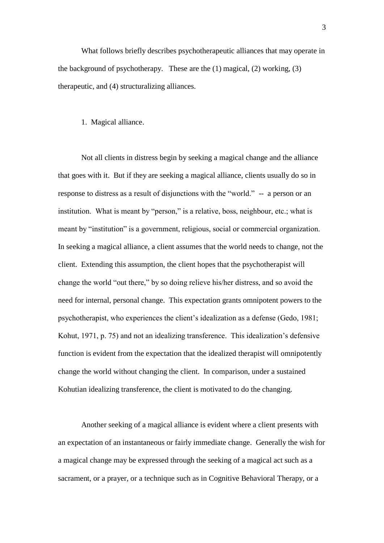What follows briefly describes psychotherapeutic alliances that may operate in the background of psychotherapy. These are the  $(1)$  magical,  $(2)$  working,  $(3)$ therapeutic, and (4) structuralizing alliances.

### 1. Magical alliance.

Not all clients in distress begin by seeking a magical change and the alliance that goes with it. But if they are seeking a magical alliance, clients usually do so in response to distress as a result of disjunctions with the "world." -- a person or an institution. What is meant by "person," is a relative, boss, neighbour, etc.; what is meant by "institution" is a government, religious, social or commercial organization. In seeking a magical alliance, a client assumes that the world needs to change, not the client. Extending this assumption, the client hopes that the psychotherapist will change the world "out there," by so doing relieve his/her distress, and so avoid the need for internal, personal change. This expectation grants omnipotent powers to the psychotherapist, who experiences the client"s idealization as a defense (Gedo, 1981; Kohut, 1971, p. 75) and not an idealizing transference. This idealization's defensive function is evident from the expectation that the idealized therapist will omnipotently change the world without changing the client. In comparison, under a sustained Kohutian idealizing transference, the client is motivated to do the changing.

Another seeking of a magical alliance is evident where a client presents with an expectation of an instantaneous or fairly immediate change. Generally the wish for a magical change may be expressed through the seeking of a magical act such as a sacrament, or a prayer, or a technique such as in Cognitive Behavioral Therapy, or a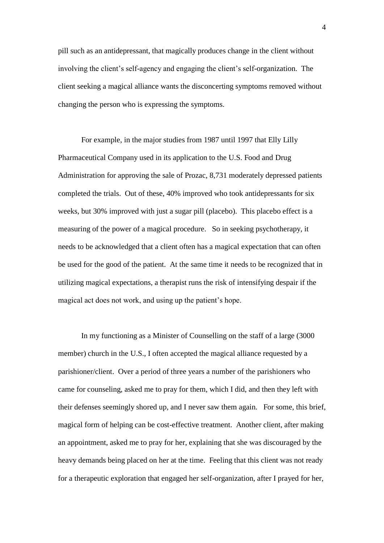pill such as an antidepressant, that magically produces change in the client without involving the client"s self-agency and engaging the client"s self-organization. The client seeking a magical alliance wants the disconcerting symptoms removed without changing the person who is expressing the symptoms.

For example, in the major studies from 1987 until 1997 that Elly Lilly Pharmaceutical Company used in its application to the U.S. Food and Drug Administration for approving the sale of Prozac, 8,731 moderately depressed patients completed the trials. Out of these, 40% improved who took antidepressants for six weeks, but 30% improved with just a sugar pill (placebo). This placebo effect is a measuring of the power of a magical procedure. So in seeking psychotherapy, it needs to be acknowledged that a client often has a magical expectation that can often be used for the good of the patient. At the same time it needs to be recognized that in utilizing magical expectations, a therapist runs the risk of intensifying despair if the magical act does not work, and using up the patient"s hope.

 In my functioning as a Minister of Counselling on the staff of a large (3000 member) church in the U.S., I often accepted the magical alliance requested by a parishioner/client. Over a period of three years a number of the parishioners who came for counseling, asked me to pray for them, which I did, and then they left with their defenses seemingly shored up, and I never saw them again. For some, this brief, magical form of helping can be cost-effective treatment. Another client, after making an appointment, asked me to pray for her, explaining that she was discouraged by the heavy demands being placed on her at the time. Feeling that this client was not ready for a therapeutic exploration that engaged her self-organization, after I prayed for her,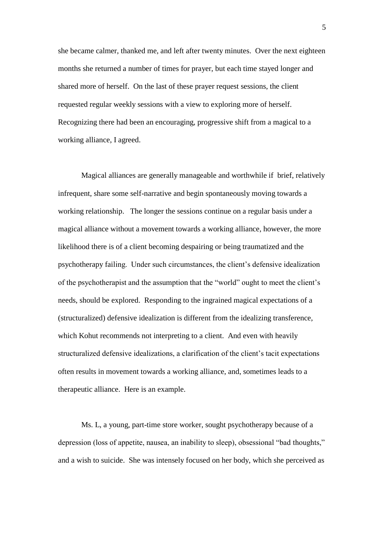she became calmer, thanked me, and left after twenty minutes. Over the next eighteen months she returned a number of times for prayer, but each time stayed longer and shared more of herself. On the last of these prayer request sessions, the client requested regular weekly sessions with a view to exploring more of herself. Recognizing there had been an encouraging, progressive shift from a magical to a working alliance, I agreed.

Magical alliances are generally manageable and worthwhile if brief, relatively infrequent, share some self-narrative and begin spontaneously moving towards a working relationship. The longer the sessions continue on a regular basis under a magical alliance without a movement towards a working alliance, however, the more likelihood there is of a client becoming despairing or being traumatized and the psychotherapy failing. Under such circumstances, the client"s defensive idealization of the psychotherapist and the assumption that the "world" ought to meet the client"s needs, should be explored. Responding to the ingrained magical expectations of a (structuralized) defensive idealization is different from the idealizing transference, which Kohut recommends not interpreting to a client. And even with heavily structuralized defensive idealizations, a clarification of the client"s tacit expectations often results in movement towards a working alliance, and, sometimes leads to a therapeutic alliance. Here is an example.

Ms. L, a young, part-time store worker, sought psychotherapy because of a depression (loss of appetite, nausea, an inability to sleep), obsessional "bad thoughts," and a wish to suicide. She was intensely focused on her body, which she perceived as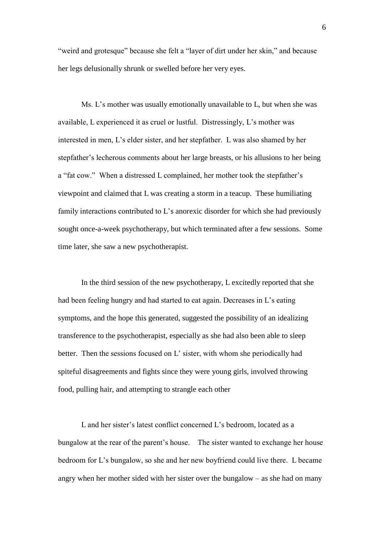"weird and grotesque" because she felt a "layer of dirt under her skin," and because her legs delusionally shrunk or swelled before her very eyes.

Ms. L's mother was usually emotionally unavailable to L, but when she was available, L experienced it as cruel or lustful. Distressingly, L"s mother was interested in men, L"s elder sister, and her stepfather. L was also shamed by her stepfather"s lecherous comments about her large breasts, or his allusions to her being a "fat cow." When a distressed L complained, her mother took the stepfather"s viewpoint and claimed that L was creating a storm in a teacup. These humiliating family interactions contributed to  $L$ 's anorexic disorder for which she had previously sought once-a-week psychotherapy, but which terminated after a few sessions. Some time later, she saw a new psychotherapist.

In the third session of the new psychotherapy, L excitedly reported that she had been feeling hungry and had started to eat again. Decreases in L"s eating symptoms, and the hope this generated, suggested the possibility of an idealizing transference to the psychotherapist, especially as she had also been able to sleep better. Then the sessions focused on L' sister, with whom she periodically had spiteful disagreements and fights since they were young girls, involved throwing food, pulling hair, and attempting to strangle each other

L and her sister's latest conflict concerned L's bedroom, located as a bungalow at the rear of the parent"s house. The sister wanted to exchange her house bedroom for L"s bungalow, so she and her new boyfriend could live there. L became angry when her mother sided with her sister over the bungalow – as she had on many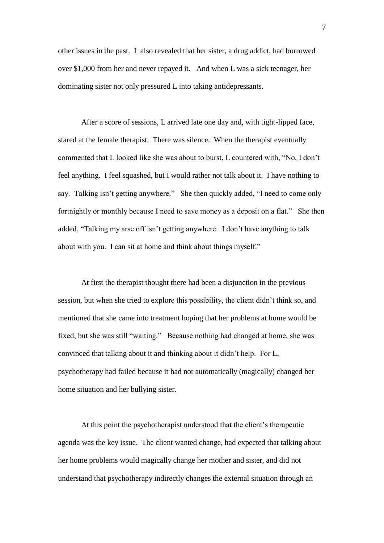other issues in the past. L also revealed that her sister, a drug addict, had borrowed over \$1,000 from her and never repayed it. And when L was a sick teenager, her dominating sister not only pressured L into taking antidepressants.

After a score of sessions, L arrived late one day and, with tight-lipped face, stared at the female therapist. There was silence. When the therapist eventually commented that L looked like she was about to burst, L countered with, "No, I don"t feel anything. I feel squashed, but I would rather not talk about it. I have nothing to say. Talking isn't getting anywhere." She then quickly added, "I need to come only fortnightly or monthly because I need to save money as a deposit on a flat." She then added, "Talking my arse off isn"t getting anywhere. I don"t have anything to talk about with you. I can sit at home and think about things myself."

At first the therapist thought there had been a disjunction in the previous session, but when she tried to explore this possibility, the client didn"t think so, and mentioned that she came into treatment hoping that her problems at home would be fixed, but she was still "waiting." Because nothing had changed at home, she was convinced that talking about it and thinking about it didn"t help. For L, psychotherapy had failed because it had not automatically (magically) changed her home situation and her bullying sister.

At this point the psychotherapist understood that the client"s therapeutic agenda was the key issue. The client wanted change, had expected that talking about her home problems would magically change her mother and sister, and did not understand that psychotherapy indirectly changes the external situation through an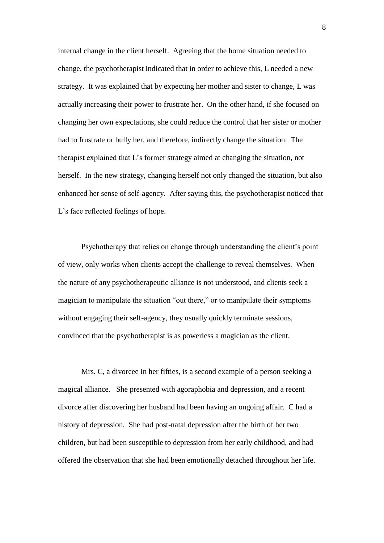internal change in the client herself. Agreeing that the home situation needed to change, the psychotherapist indicated that in order to achieve this, L needed a new strategy. It was explained that by expecting her mother and sister to change, L was actually increasing their power to frustrate her. On the other hand, if she focused on changing her own expectations, she could reduce the control that her sister or mother had to frustrate or bully her, and therefore, indirectly change the situation. The therapist explained that L"s former strategy aimed at changing the situation, not herself. In the new strategy, changing herself not only changed the situation, but also enhanced her sense of self-agency. After saying this, the psychotherapist noticed that L's face reflected feelings of hope.

Psychotherapy that relies on change through understanding the client"s point of view, only works when clients accept the challenge to reveal themselves. When the nature of any psychotherapeutic alliance is not understood, and clients seek a magician to manipulate the situation "out there," or to manipulate their symptoms without engaging their self-agency, they usually quickly terminate sessions, convinced that the psychotherapist is as powerless a magician as the client.

Mrs. C, a divorcee in her fifties, is a second example of a person seeking a magical alliance. She presented with agoraphobia and depression, and a recent divorce after discovering her husband had been having an ongoing affair. C had a history of depression. She had post-natal depression after the birth of her two children, but had been susceptible to depression from her early childhood, and had offered the observation that she had been emotionally detached throughout her life.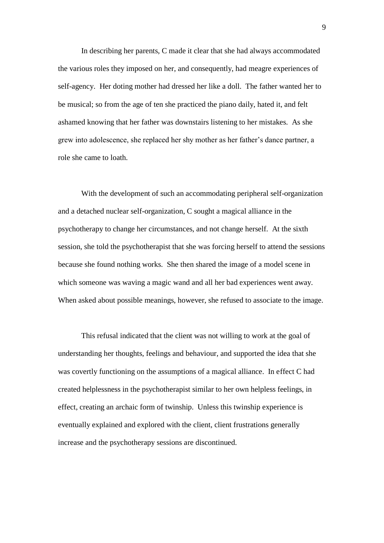In describing her parents, C made it clear that she had always accommodated the various roles they imposed on her, and consequently, had meagre experiences of self-agency. Her doting mother had dressed her like a doll. The father wanted her to be musical; so from the age of ten she practiced the piano daily, hated it, and felt ashamed knowing that her father was downstairs listening to her mistakes. As she grew into adolescence, she replaced her shy mother as her father"s dance partner, a role she came to loath.

With the development of such an accommodating peripheral self-organization and a detached nuclear self-organization, C sought a magical alliance in the psychotherapy to change her circumstances, and not change herself. At the sixth session, she told the psychotherapist that she was forcing herself to attend the sessions because she found nothing works. She then shared the image of a model scene in which someone was waving a magic wand and all her bad experiences went away. When asked about possible meanings, however, she refused to associate to the image.

This refusal indicated that the client was not willing to work at the goal of understanding her thoughts, feelings and behaviour, and supported the idea that she was covertly functioning on the assumptions of a magical alliance. In effect C had created helplessness in the psychotherapist similar to her own helpless feelings, in effect, creating an archaic form of twinship. Unless this twinship experience is eventually explained and explored with the client, client frustrations generally increase and the psychotherapy sessions are discontinued.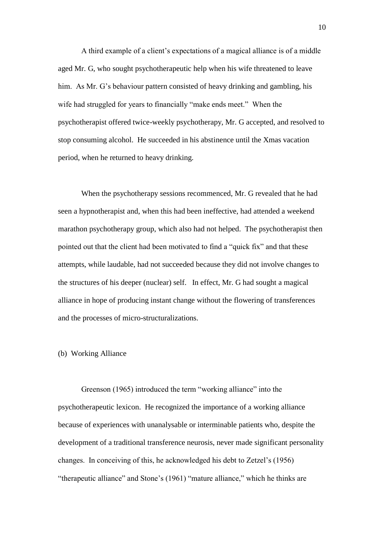A third example of a client"s expectations of a magical alliance is of a middle aged Mr. G, who sought psychotherapeutic help when his wife threatened to leave him. As Mr. G's behaviour pattern consisted of heavy drinking and gambling, his wife had struggled for years to financially "make ends meet." When the psychotherapist offered twice-weekly psychotherapy, Mr. G accepted, and resolved to stop consuming alcohol. He succeeded in his abstinence until the Xmas vacation period, when he returned to heavy drinking.

When the psychotherapy sessions recommenced, Mr. G revealed that he had seen a hypnotherapist and, when this had been ineffective, had attended a weekend marathon psychotherapy group, which also had not helped. The psychotherapist then pointed out that the client had been motivated to find a "quick fix" and that these attempts, while laudable, had not succeeded because they did not involve changes to the structures of his deeper (nuclear) self. In effect, Mr. G had sought a magical alliance in hope of producing instant change without the flowering of transferences and the processes of micro-structuralizations.

### (b) Working Alliance

Greenson (1965) introduced the term "working alliance" into the psychotherapeutic lexicon. He recognized the importance of a working alliance because of experiences with unanalysable or interminable patients who, despite the development of a traditional transference neurosis, never made significant personality changes. In conceiving of this, he acknowledged his debt to Zetzel"s (1956) "therapeutic alliance" and Stone"s (1961) "mature alliance," which he thinks are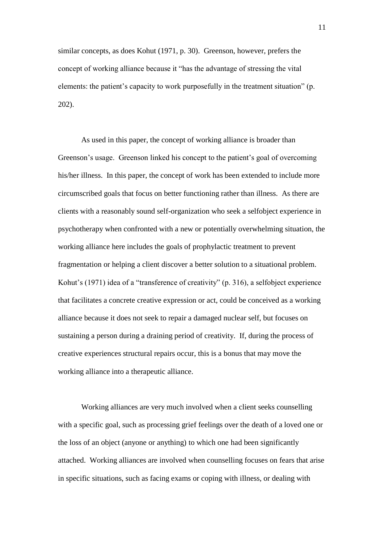similar concepts, as does Kohut (1971, p. 30). Greenson, however, prefers the concept of working alliance because it "has the advantage of stressing the vital elements: the patient's capacity to work purposefully in the treatment situation" (p. 202).

As used in this paper, the concept of working alliance is broader than Greenson"s usage. Greenson linked his concept to the patient"s goal of overcoming his/her illness. In this paper, the concept of work has been extended to include more circumscribed goals that focus on better functioning rather than illness. As there are clients with a reasonably sound self-organization who seek a selfobject experience in psychotherapy when confronted with a new or potentially overwhelming situation, the working alliance here includes the goals of prophylactic treatment to prevent fragmentation or helping a client discover a better solution to a situational problem. Kohut"s (1971) idea of a "transference of creativity" (p. 316), a selfobject experience that facilitates a concrete creative expression or act, could be conceived as a working alliance because it does not seek to repair a damaged nuclear self, but focuses on sustaining a person during a draining period of creativity. If, during the process of creative experiences structural repairs occur, this is a bonus that may move the working alliance into a therapeutic alliance.

Working alliances are very much involved when a client seeks counselling with a specific goal, such as processing grief feelings over the death of a loved one or the loss of an object (anyone or anything) to which one had been significantly attached. Working alliances are involved when counselling focuses on fears that arise in specific situations, such as facing exams or coping with illness, or dealing with

11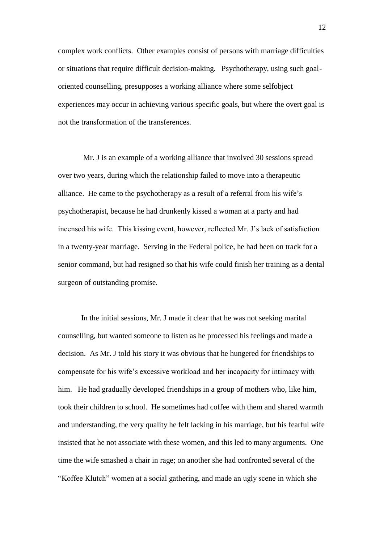complex work conflicts. Other examples consist of persons with marriage difficulties or situations that require difficult decision-making. Psychotherapy, using such goaloriented counselling, presupposes a working alliance where some selfobject experiences may occur in achieving various specific goals, but where the overt goal is not the transformation of the transferences.

Mr. J is an example of a working alliance that involved 30 sessions spread over two years, during which the relationship failed to move into a therapeutic alliance. He came to the psychotherapy as a result of a referral from his wife"s psychotherapist, because he had drunkenly kissed a woman at a party and had incensed his wife. This kissing event, however, reflected Mr. J"s lack of satisfaction in a twenty-year marriage. Serving in the Federal police, he had been on track for a senior command, but had resigned so that his wife could finish her training as a dental surgeon of outstanding promise.

In the initial sessions, Mr. J made it clear that he was not seeking marital counselling, but wanted someone to listen as he processed his feelings and made a decision. As Mr. J told his story it was obvious that he hungered for friendships to compensate for his wife"s excessive workload and her incapacity for intimacy with him. He had gradually developed friendships in a group of mothers who, like him, took their children to school. He sometimes had coffee with them and shared warmth and understanding, the very quality he felt lacking in his marriage, but his fearful wife insisted that he not associate with these women, and this led to many arguments. One time the wife smashed a chair in rage; on another she had confronted several of the "Koffee Klutch" women at a social gathering, and made an ugly scene in which she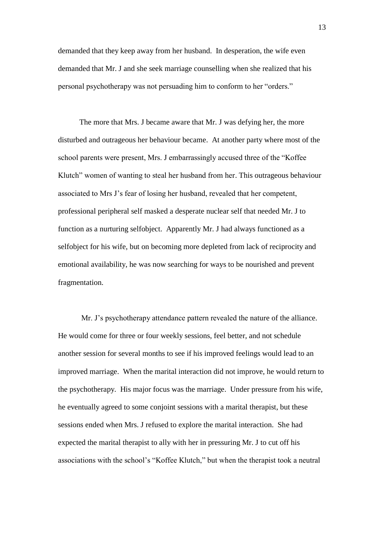demanded that they keep away from her husband. In desperation, the wife even demanded that Mr. J and she seek marriage counselling when she realized that his personal psychotherapy was not persuading him to conform to her "orders."

 The more that Mrs. J became aware that Mr. J was defying her, the more disturbed and outrageous her behaviour became. At another party where most of the school parents were present, Mrs. J embarrassingly accused three of the "Koffee Klutch" women of wanting to steal her husband from her. This outrageous behaviour associated to Mrs J"s fear of losing her husband, revealed that her competent, professional peripheral self masked a desperate nuclear self that needed Mr. J to function as a nurturing selfobject. Apparently Mr. J had always functioned as a selfobject for his wife, but on becoming more depleted from lack of reciprocity and emotional availability, he was now searching for ways to be nourished and prevent fragmentation.

Mr. J"s psychotherapy attendance pattern revealed the nature of the alliance. He would come for three or four weekly sessions, feel better, and not schedule another session for several months to see if his improved feelings would lead to an improved marriage. When the marital interaction did not improve, he would return to the psychotherapy. His major focus was the marriage. Under pressure from his wife, he eventually agreed to some conjoint sessions with a marital therapist, but these sessions ended when Mrs. J refused to explore the marital interaction. She had expected the marital therapist to ally with her in pressuring Mr. J to cut off his associations with the school"s "Koffee Klutch," but when the therapist took a neutral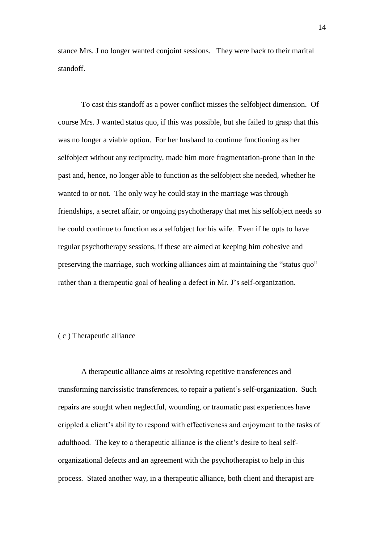stance Mrs. J no longer wanted conjoint sessions. They were back to their marital standoff.

To cast this standoff as a power conflict misses the selfobject dimension. Of course Mrs. J wanted status quo, if this was possible, but she failed to grasp that this was no longer a viable option. For her husband to continue functioning as her selfobject without any reciprocity, made him more fragmentation-prone than in the past and, hence, no longer able to function as the selfobject she needed, whether he wanted to or not. The only way he could stay in the marriage was through friendships, a secret affair, or ongoing psychotherapy that met his selfobject needs so he could continue to function as a selfobject for his wife. Even if he opts to have regular psychotherapy sessions, if these are aimed at keeping him cohesive and preserving the marriage, such working alliances aim at maintaining the "status quo" rather than a therapeutic goal of healing a defect in Mr. J"s self-organization.

# ( c ) Therapeutic alliance

A therapeutic alliance aims at resolving repetitive transferences and transforming narcissistic transferences, to repair a patient"s self-organization. Such repairs are sought when neglectful, wounding, or traumatic past experiences have crippled a client"s ability to respond with effectiveness and enjoyment to the tasks of adulthood. The key to a therapeutic alliance is the client"s desire to heal selforganizational defects and an agreement with the psychotherapist to help in this process. Stated another way, in a therapeutic alliance, both client and therapist are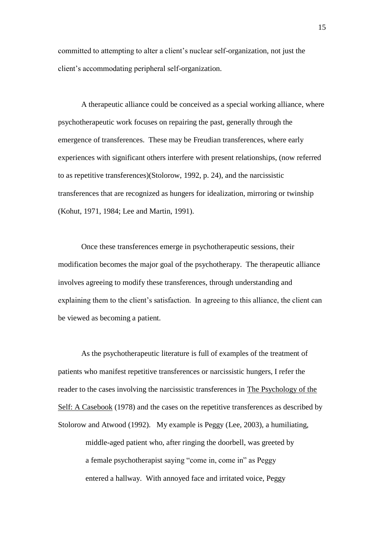committed to attempting to alter a client"s nuclear self-organization, not just the client"s accommodating peripheral self-organization.

A therapeutic alliance could be conceived as a special working alliance, where psychotherapeutic work focuses on repairing the past, generally through the emergence of transferences. These may be Freudian transferences, where early experiences with significant others interfere with present relationships, (now referred to as repetitive transferences)(Stolorow, 1992, p. 24), and the narcissistic transferences that are recognized as hungers for idealization, mirroring or twinship (Kohut, 1971, 1984; Lee and Martin, 1991).

Once these transferences emerge in psychotherapeutic sessions, their modification becomes the major goal of the psychotherapy. The therapeutic alliance involves agreeing to modify these transferences, through understanding and explaining them to the client"s satisfaction. In agreeing to this alliance, the client can be viewed as becoming a patient.

As the psychotherapeutic literature is full of examples of the treatment of patients who manifest repetitive transferences or narcissistic hungers, I refer the reader to the cases involving the narcissistic transferences in The Psychology of the Self: A Casebook (1978) and the cases on the repetitive transferences as described by Stolorow and Atwood (1992). My example is Peggy (Lee, 2003), a humiliating, middle-aged patient who, after ringing the doorbell, was greeted by a female psychotherapist saying "come in, come in" as Peggy entered a hallway. With annoyed face and irritated voice, Peggy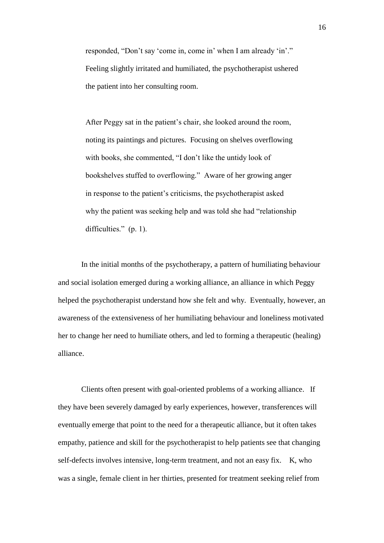responded, "Don't say 'come in, come in' when I am already 'in'." Feeling slightly irritated and humiliated, the psychotherapist ushered the patient into her consulting room.

After Peggy sat in the patient's chair, she looked around the room, noting its paintings and pictures. Focusing on shelves overflowing with books, she commented, "I don't like the untidy look of bookshelves stuffed to overflowing." Aware of her growing anger in response to the patient"s criticisms, the psychotherapist asked why the patient was seeking help and was told she had "relationship difficulties." (p. 1).

In the initial months of the psychotherapy, a pattern of humiliating behaviour and social isolation emerged during a working alliance, an alliance in which Peggy helped the psychotherapist understand how she felt and why. Eventually, however, an awareness of the extensiveness of her humiliating behaviour and loneliness motivated her to change her need to humiliate others, and led to forming a therapeutic (healing) alliance.

Clients often present with goal-oriented problems of a working alliance. If they have been severely damaged by early experiences, however, transferences will eventually emerge that point to the need for a therapeutic alliance, but it often takes empathy, patience and skill for the psychotherapist to help patients see that changing self-defects involves intensive, long-term treatment, and not an easy fix. K, who was a single, female client in her thirties, presented for treatment seeking relief from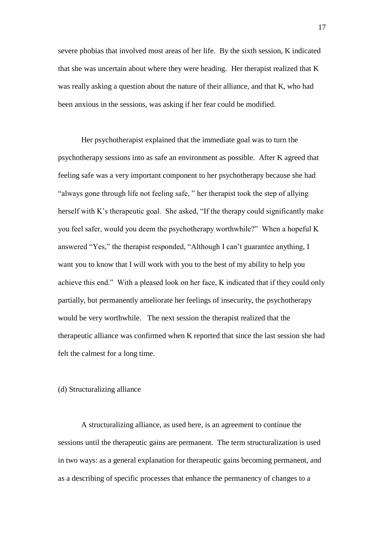severe phobias that involved most areas of her life. By the sixth session, K indicated that she was uncertain about where they were heading. Her therapist realized that K was really asking a question about the nature of their alliance, and that K, who had been anxious in the sessions, was asking if her fear could be modified.

Her psychotherapist explained that the immediate goal was to turn the psychotherapy sessions into as safe an environment as possible. After K agreed that feeling safe was a very important component to her psychotherapy because she had "always gone through life not feeling safe, " her therapist took the step of allying herself with K's therapeutic goal. She asked, "If the therapy could significantly make you feel safer, would you deem the psychotherapy worthwhile?" When a hopeful K answered "Yes," the therapist responded, "Although I can"t guarantee anything, I want you to know that I will work with you to the best of my ability to help you achieve this end." With a pleased look on her face, K indicated that if they could only partially, but permanently ameliorate her feelings of insecurity, the psychotherapy would be very worthwhile. The next session the therapist realized that the therapeutic alliance was confirmed when K reported that since the last session she had felt the calmest for a long time.

### (d) Structuralizing alliance

A structuralizing alliance, as used here, is an agreement to continue the sessions until the therapeutic gains are permanent. The term structuralization is used in two ways: as a general explanation for therapeutic gains becoming permanent, and as a describing of specific processes that enhance the permanency of changes to a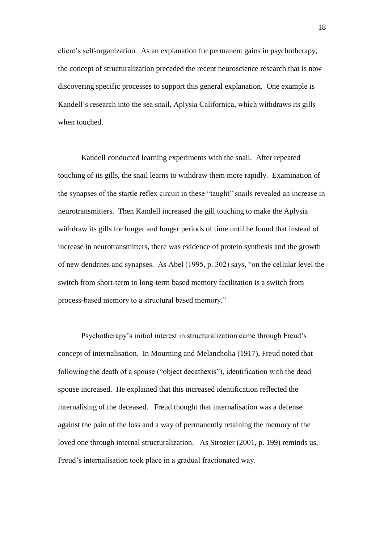client"s self-organization. As an explanation for permanent gains in psychotherapy, the concept of structuralization preceded the recent neuroscience research that is now discovering specific processes to support this general explanation. One example is Kandell"s research into the sea snail, Aplysia Californica, which withdraws its gills when touched.

Kandell conducted learning experiments with the snail. After repeated touching of its gills, the snail learns to withdraw them more rapidly. Examination of the synapses of the startle reflex circuit in these "taught" snails revealed an increase in neurotransmitters. Then Kandell increased the gill touching to make the Aplysia withdraw its gills for longer and longer periods of time until he found that instead of increase in neurotransmitters, there was evidence of protein synthesis and the growth of new dendrites and synapses. As Abel (1995, p. 302) says, "on the cellular level the switch from short-term to long-term based memory facilitation is a switch from process-based memory to a structural based memory."

Psychotherapy"s initial interest in structuralization came through Freud"s concept of internalisation. In Mourning and Melancholia (1917), Freud noted that following the death of a spouse ("object decathexis"), identification with the dead spouse increased. He explained that this increased identification reflected the internalising of the deceased. Freud thought that internalisation was a defense against the pain of the loss and a way of permanently retaining the memory of the loved one through internal structuralization. As Strozier (2001, p. 199) reminds us, Freud"s internalisation took place in a gradual fractionated way.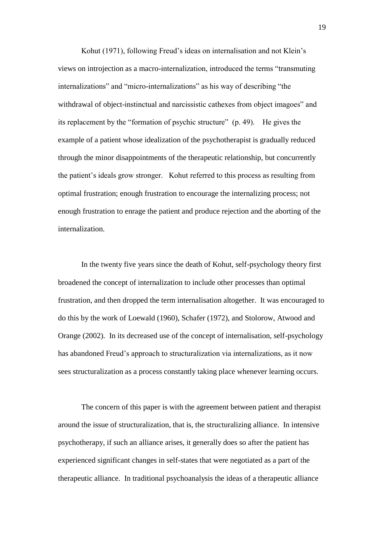Kohut (1971), following Freud's ideas on internalisation and not Klein's views on introjection as a macro-internalization, introduced the terms "transmuting internalizations" and "micro-internalizations" as his way of describing "the withdrawal of object-instinctual and narcissistic cathexes from object imagoes" and its replacement by the "formation of psychic structure" (p. 49). He gives the example of a patient whose idealization of the psychotherapist is gradually reduced through the minor disappointments of the therapeutic relationship, but concurrently the patient"s ideals grow stronger. Kohut referred to this process as resulting from optimal frustration; enough frustration to encourage the internalizing process; not enough frustration to enrage the patient and produce rejection and the aborting of the internalization.

In the twenty five years since the death of Kohut, self-psychology theory first broadened the concept of internalization to include other processes than optimal frustration, and then dropped the term internalisation altogether. It was encouraged to do this by the work of Loewald (1960), Schafer (1972), and Stolorow, Atwood and Orange (2002). In its decreased use of the concept of internalisation, self-psychology has abandoned Freud"s approach to structuralization via internalizations, as it now sees structuralization as a process constantly taking place whenever learning occurs.

The concern of this paper is with the agreement between patient and therapist around the issue of structuralization, that is, the structuralizing alliance. In intensive psychotherapy, if such an alliance arises, it generally does so after the patient has experienced significant changes in self-states that were negotiated as a part of the therapeutic alliance. In traditional psychoanalysis the ideas of a therapeutic alliance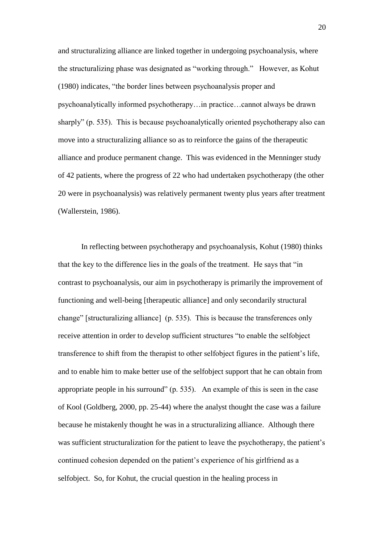and structuralizing alliance are linked together in undergoing psychoanalysis, where the structuralizing phase was designated as "working through." However, as Kohut (1980) indicates, "the border lines between psychoanalysis proper and psychoanalytically informed psychotherapy…in practice…cannot always be drawn sharply" (p. 535). This is because psychoanalytically oriented psychotherapy also can move into a structuralizing alliance so as to reinforce the gains of the therapeutic alliance and produce permanent change. This was evidenced in the Menninger study of 42 patients, where the progress of 22 who had undertaken psychotherapy (the other 20 were in psychoanalysis) was relatively permanent twenty plus years after treatment (Wallerstein, 1986).

In reflecting between psychotherapy and psychoanalysis, Kohut (1980) thinks that the key to the difference lies in the goals of the treatment. He says that "in contrast to psychoanalysis, our aim in psychotherapy is primarily the improvement of functioning and well-being [therapeutic alliance] and only secondarily structural change" [structuralizing alliance] (p. 535). This is because the transferences only receive attention in order to develop sufficient structures "to enable the selfobject transference to shift from the therapist to other selfobject figures in the patient"s life, and to enable him to make better use of the selfobject support that he can obtain from appropriate people in his surround" (p. 535). An example of this is seen in the case of Kool (Goldberg, 2000, pp. 25-44) where the analyst thought the case was a failure because he mistakenly thought he was in a structuralizing alliance. Although there was sufficient structuralization for the patient to leave the psychotherapy, the patient's continued cohesion depended on the patient's experience of his girlfriend as a selfobject. So, for Kohut, the crucial question in the healing process in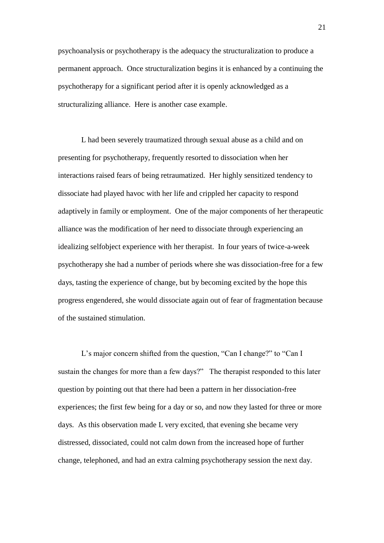psychoanalysis or psychotherapy is the adequacy the structuralization to produce a permanent approach. Once structuralization begins it is enhanced by a continuing the psychotherapy for a significant period after it is openly acknowledged as a structuralizing alliance. Here is another case example.

L had been severely traumatized through sexual abuse as a child and on presenting for psychotherapy, frequently resorted to dissociation when her interactions raised fears of being retraumatized. Her highly sensitized tendency to dissociate had played havoc with her life and crippled her capacity to respond adaptively in family or employment. One of the major components of her therapeutic alliance was the modification of her need to dissociate through experiencing an idealizing selfobject experience with her therapist. In four years of twice-a-week psychotherapy she had a number of periods where she was dissociation-free for a few days, tasting the experience of change, but by becoming excited by the hope this progress engendered, she would dissociate again out of fear of fragmentation because of the sustained stimulation.

L"s major concern shifted from the question, "Can I change?" to "Can I sustain the changes for more than a few days?" The therapist responded to this later question by pointing out that there had been a pattern in her dissociation-free experiences; the first few being for a day or so, and now they lasted for three or more days. As this observation made L very excited, that evening she became very distressed, dissociated, could not calm down from the increased hope of further change, telephoned, and had an extra calming psychotherapy session the next day.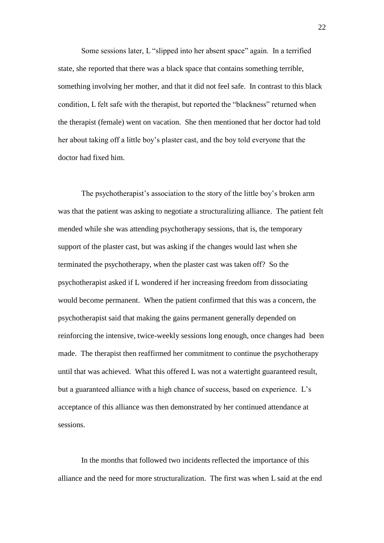Some sessions later, L "slipped into her absent space" again. In a terrified state, she reported that there was a black space that contains something terrible, something involving her mother, and that it did not feel safe. In contrast to this black condition, L felt safe with the therapist, but reported the "blackness" returned when the therapist (female) went on vacation. She then mentioned that her doctor had told her about taking off a little boy"s plaster cast, and the boy told everyone that the doctor had fixed him.

The psychotherapist's association to the story of the little boy's broken arm was that the patient was asking to negotiate a structuralizing alliance. The patient felt mended while she was attending psychotherapy sessions, that is, the temporary support of the plaster cast, but was asking if the changes would last when she terminated the psychotherapy, when the plaster cast was taken off? So the psychotherapist asked if L wondered if her increasing freedom from dissociating would become permanent. When the patient confirmed that this was a concern, the psychotherapist said that making the gains permanent generally depended on reinforcing the intensive, twice-weekly sessions long enough, once changes had been made. The therapist then reaffirmed her commitment to continue the psychotherapy until that was achieved. What this offered L was not a watertight guaranteed result, but a guaranteed alliance with a high chance of success, based on experience. L"s acceptance of this alliance was then demonstrated by her continued attendance at sessions.

In the months that followed two incidents reflected the importance of this alliance and the need for more structuralization. The first was when L said at the end

22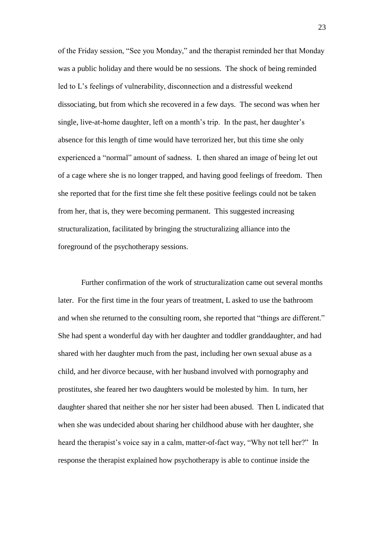of the Friday session, "See you Monday," and the therapist reminded her that Monday was a public holiday and there would be no sessions. The shock of being reminded led to L"s feelings of vulnerability, disconnection and a distressful weekend dissociating, but from which she recovered in a few days. The second was when her single, live-at-home daughter, left on a month's trip. In the past, her daughter's absence for this length of time would have terrorized her, but this time she only experienced a "normal" amount of sadness. L then shared an image of being let out of a cage where she is no longer trapped, and having good feelings of freedom. Then she reported that for the first time she felt these positive feelings could not be taken from her, that is, they were becoming permanent. This suggested increasing structuralization, facilitated by bringing the structuralizing alliance into the foreground of the psychotherapy sessions.

Further confirmation of the work of structuralization came out several months later. For the first time in the four years of treatment, L asked to use the bathroom and when she returned to the consulting room, she reported that "things are different." She had spent a wonderful day with her daughter and toddler granddaughter, and had shared with her daughter much from the past, including her own sexual abuse as a child, and her divorce because, with her husband involved with pornography and prostitutes, she feared her two daughters would be molested by him. In turn, her daughter shared that neither she nor her sister had been abused. Then L indicated that when she was undecided about sharing her childhood abuse with her daughter, she heard the therapist's voice say in a calm, matter-of-fact way, "Why not tell her?" In response the therapist explained how psychotherapy is able to continue inside the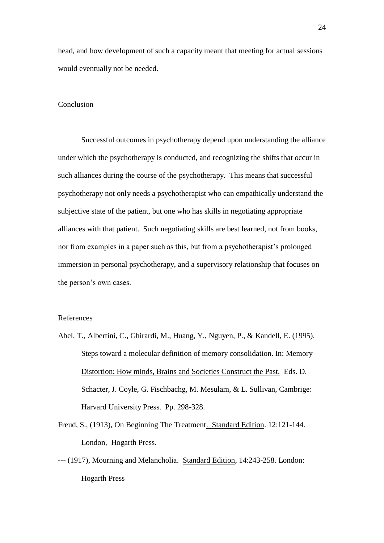head, and how development of such a capacity meant that meeting for actual sessions would eventually not be needed.

# Conclusion

Successful outcomes in psychotherapy depend upon understanding the alliance under which the psychotherapy is conducted, and recognizing the shifts that occur in such alliances during the course of the psychotherapy. This means that successful psychotherapy not only needs a psychotherapist who can empathically understand the subjective state of the patient, but one who has skills in negotiating appropriate alliances with that patient. Such negotiating skills are best learned, not from books, nor from examples in a paper such as this, but from a psychotherapist"s prolonged immersion in personal psychotherapy, and a supervisory relationship that focuses on the person"s own cases.

# References

- Abel, T., Albertini, C., Ghirardi, M., Huang, Y., Nguyen, P., & Kandell, E. (1995), Steps toward a molecular definition of memory consolidation. In: Memory Distortion: How minds, Brains and Societies Construct the Past. Eds. D. Schacter, J. Coyle, G. Fischbachg, M. Mesulam, & L. Sullivan, Cambrige: Harvard University Press. Pp. 298-328.
- Freud, S., (1913), On Beginning The Treatment. Standard Edition. 12:121-144. London, Hogarth Press.
- --- (1917), Mourning and Melancholia. Standard Edition, 14:243-258. London: Hogarth Press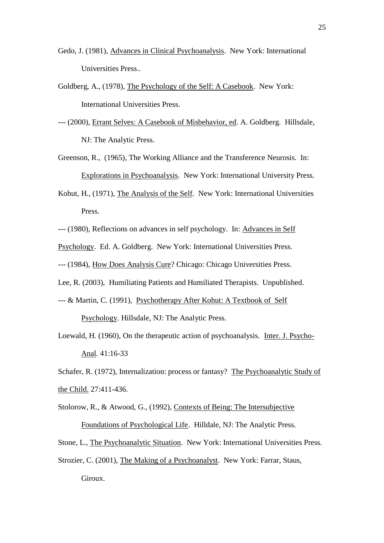- Gedo, J. (1981), Advances in Clinical Psychoanalysis. New York: International Universities Press..
- Goldberg, A., (1978), The Psychology of the Self: A Casebook. New York: International Universities Press.
- --- (2000), Errant Selves: A Casebook of Misbehavior, ed. A. Goldberg. Hillsdale, NJ: The Analytic Press.
- Greenson, R., (1965), The Working Alliance and the Transference Neurosis. In: Explorations in Psychoanalysis. New York: International University Press.
- Kohut, H., (1971), The Analysis of the Self. New York: International Universities Press.
- --- (1980), Reflections on advances in self psychology. In: Advances in Self

Psychology. Ed. A. Goldberg. New York: International Universities Press.

--- (1984), How Does Analysis Cure? Chicago: Chicago Universities Press.

Lee, R. (2003), Humiliating Patients and Humiliated Therapists. Unpublished.

--- & Martin, C. (1991), Psychotherapy After Kohut: A Textbook of Self

Psychology. Hillsdale, NJ: The Analytic Press.

Loewald, H. (1960), On the therapeutic action of psychoanalysis. Inter. J. Psycho-Anal. 41:16-33

Schafer, R. (1972), Internalization: process or fantasy? The Psychoanalytic Study of the Child. 27:411-436.

Stolorow, R., & Atwood, G., (1992), Contexts of Being: The Intersubjective

Foundations of Psychological Life. Hilldale, NJ: The Analytic Press.

Stone, L., The Psychoanalytic Situation. New York: International Universities Press.

Strozier, C. (2001), The Making of a Psychoanalyst. New York: Farrar, Staus,

Giroux.